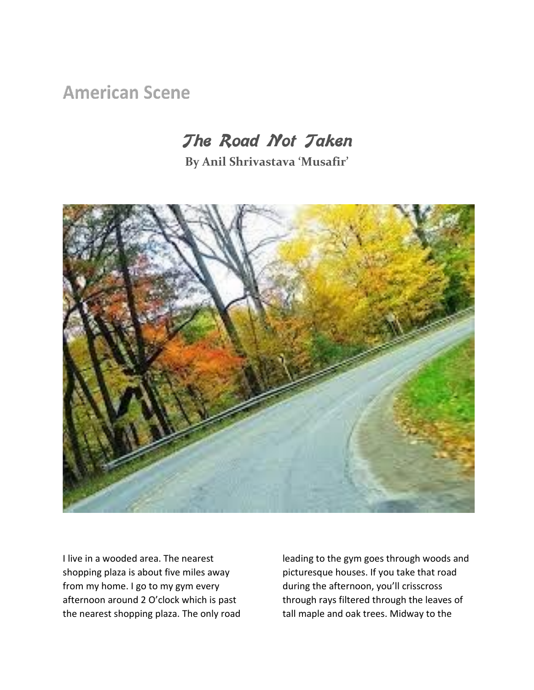**American Scene** 

## **The Road Not Taken**

**By Anil Shrivastava 'Musafir'**



I live in a wooded area. The nearest shopping plaza is about five miles away from my home. I go to my gym every afternoon around 2 O'clock which is past the nearest shopping plaza. The only road leading to the gym goes through woods and picturesque houses. If you take that road during the afternoon, you'll crisscross through rays filtered through the leaves of tall maple and oak trees. Midway to the